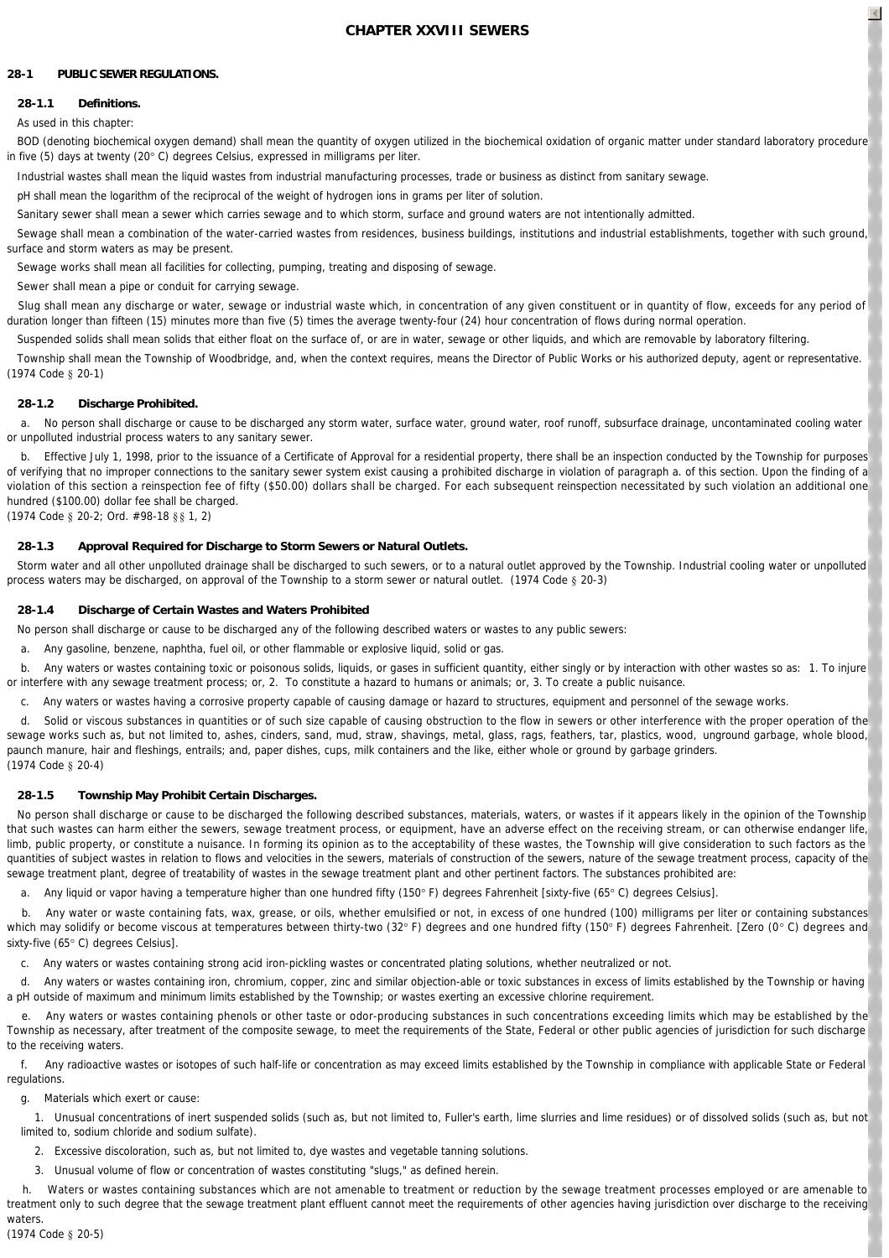# **CHAPTER XXVIII SEWERS**

# **28-1 PUBLIC SEWER REGULATIONS.**

# **28-1.1 Definitions.**

# As used in this chapter:

 *BOD (denoting biochemical oxygen demand)* shall mean the quantity of oxygen utilized in the biochemical oxidation of organic matter under standard laboratory procedure in five (5) days at twenty (20° C) degrees Celsius, expressed in milligrams per liter.

*Industrial wastes* shall mean the liquid wastes from industrial manufacturing processes, trade or business as distinct from sanitary sewage.

*pH* shall mean the logarithm of the reciprocal of the weight of hydrogen ions in grams per liter of solution.

*Sanitary sewer* shall mean a sewer which carries sewage and to which storm, surface and ground waters are not intentionally admitted.

 *Sewage* shall mean a combination of the water-carried wastes from residences, business buildings, institutions and industrial establishments, together with such ground, surface and storm waters as may be present.

*Sewage works* shall mean all facilities for collecting, pumping, treating and disposing of sewage.

*Sewer* shall mean a pipe or conduit for carrying sewage.

 *Slug* shall mean any discharge or water, sewage or industrial waste which, in concentration of any given constituent or in quantity of flow, exceeds for any period of duration longer than fifteen (15) minutes more than five (5) times the average twenty-four (24) hour concentration of flows during normal operation.

*Suspended solids* shall mean solids that either float on the surface of, or are in water, sewage or other liquids, and which are removable by laboratory filtering.

 *Township* shall mean the Township of Woodbridge, and, when the context requires, means the Director of Public Works or his authorized deputy, agent or representative. (1974 Code § 20-1)

# **28-1.2 Discharge Prohibited.**

 a. No person shall discharge or cause to be discharged any storm water, surface water, ground water, roof runoff, subsurface drainage, uncontaminated cooling water or unpolluted industrial process waters to any sanitary sewer.

 b. Effective July 1, 1998, prior to the issuance of a Certificate of Approval for a residential property, there shall be an inspection conducted by the Township for purposes of verifying that no improper connections to the sanitary sewer system exist causing a prohibited discharge in violation of paragraph a. of this section. Upon the finding of a violation of this section a reinspection fee of fifty (\$50.00) dollars shall be charged. For each subsequent reinspection necessitated by such violation an additional one hundred (\$100.00) dollar fee shall be charged. (1974 Code § 20-2; Ord. #98-18 §§ 1, 2)

# **28-1.3 Approval Required for Discharge to Storm Sewers or Natural Outlets.**

Storm water and all other unpolluted drainage shall be discharged to such sewers, or to a natural outlet approved by the Township. Industrial cooling water or unpolluted process waters may be discharged, on approval of the Township to a storm sewer or natural outlet. (1974 Code § 20-3)

# **28-1.4 Discharge of Certain Wastes and Waters Prohibited**

No person shall discharge or cause to be discharged any of the following described waters or wastes to any public sewers:

a. Any gasoline, benzene, naphtha, fuel oil, or other flammable or explosive liquid, solid or gas.

 b. Any waters or wastes containing toxic or poisonous solids, liquids, or gases in sufficient quantity, either singly or by interaction with other wastes so as: 1. To injure or interfere with any sewage treatment process; or, 2. To constitute a hazard to humans or animals; or, 3. To create a public nuisance.

c. Any waters or wastes having a corrosive property capable of causing damage or hazard to structures, equipment and personnel of the sewage works.

Solid or viscous substances in quantities or of such size capable of causing obstruction to the flow in sewers or other interference with the proper operation of the sewage works such as, but not limited to, ashes, cinders, sand, mud, straw, shavings, metal, glass, rags, feathers, tar, plastics, wood, unground garbage, whole blood, paunch manure, hair and fleshings, entrails; and, paper dishes, cups, milk containers and the like, either whole or ground by garbage grinders. (1974 Code § 20-4)

# **28-1.5 Township May Prohibit Certain Discharges.**

No person shall discharge or cause to be discharged the following described substances, materials, waters, or wastes if it appears likely in the opinion of the Township that such wastes can harm either the sewers, sewage treatment process, or equipment, have an adverse effect on the receiving stream, or can otherwise endanger life limb, public property, or constitute a nuisance. In forming its opinion as to the acceptability of these wastes, the Township will give consideration to such factors as the quantities of subject wastes in relation to flows and velocities in the sewers, materials of construction of the sewers, nature of the sewage treatment process, capacity of the sewage treatment plant, degree of treatability of wastes in the sewage treatment plant and other pertinent factors. The substances prohibited are:

a. Any liquid or vapor having a temperature higher than one hundred fifty (150°F) degrees Fahrenheit [sixty-five (65°C) degrees Celsius].

 b. Any water or waste containing fats, wax, grease, or oils, whether emulsified or not, in excess of one hundred (100) milligrams per liter or containing substances which may solidify or become viscous at temperatures between thirty-two (32° F) degrees and one hundred fifty (150° F) degrees Fahrenheit. [Zero (0° C) degrees and sixty-five (65° C) degrees Celsius].

c. Any waters or wastes containing strong acid iron-pickling wastes or concentrated plating solutions, whether neutralized or not.

 d. Any waters or wastes containing iron, chromium, copper, zinc and similar objection-able or toxic substances in excess of limits established by the Township or having a pH outside of maximum and minimum limits established by the Township; or wastes exerting an excessive chlorine requirement.

 e. Any waters or wastes containing phenols or other taste or odor-producing substances in such concentrations exceeding limits which may be established by the Township as necessary, after treatment of the composite sewage, to meet the requirements of the State, Federal or other public agencies of jurisdiction for such discharge to the receiving waters.

 f. Any radioactive wastes or isotopes of such half-life or concentration as may exceed limits established by the Township in compliance with applicable State or Federal regulations.

g. Materials which exert or cause:

1. Unusual concentrations of inert suspended solids (such as, but not limited to, Fuller's earth, lime slurries and lime residues) or of dissolved solids (such as, but not limited to, sodium chloride and sodium sulfate).

2. Excessive discoloration, such as, but not limited to, dye wastes and vegetable tanning solutions.

3. Unusual volume of flow or concentration of wastes constituting "slugs," as defined herein.

 h. Waters or wastes containing substances which are not amenable to treatment or reduction by the sewage treatment processes employed or are amenable to treatment only to such degree that the sewage treatment plant effluent cannot meet the requirements of other agencies having jurisdiction over discharge to the receiving waters

(1974 Code § 20-5)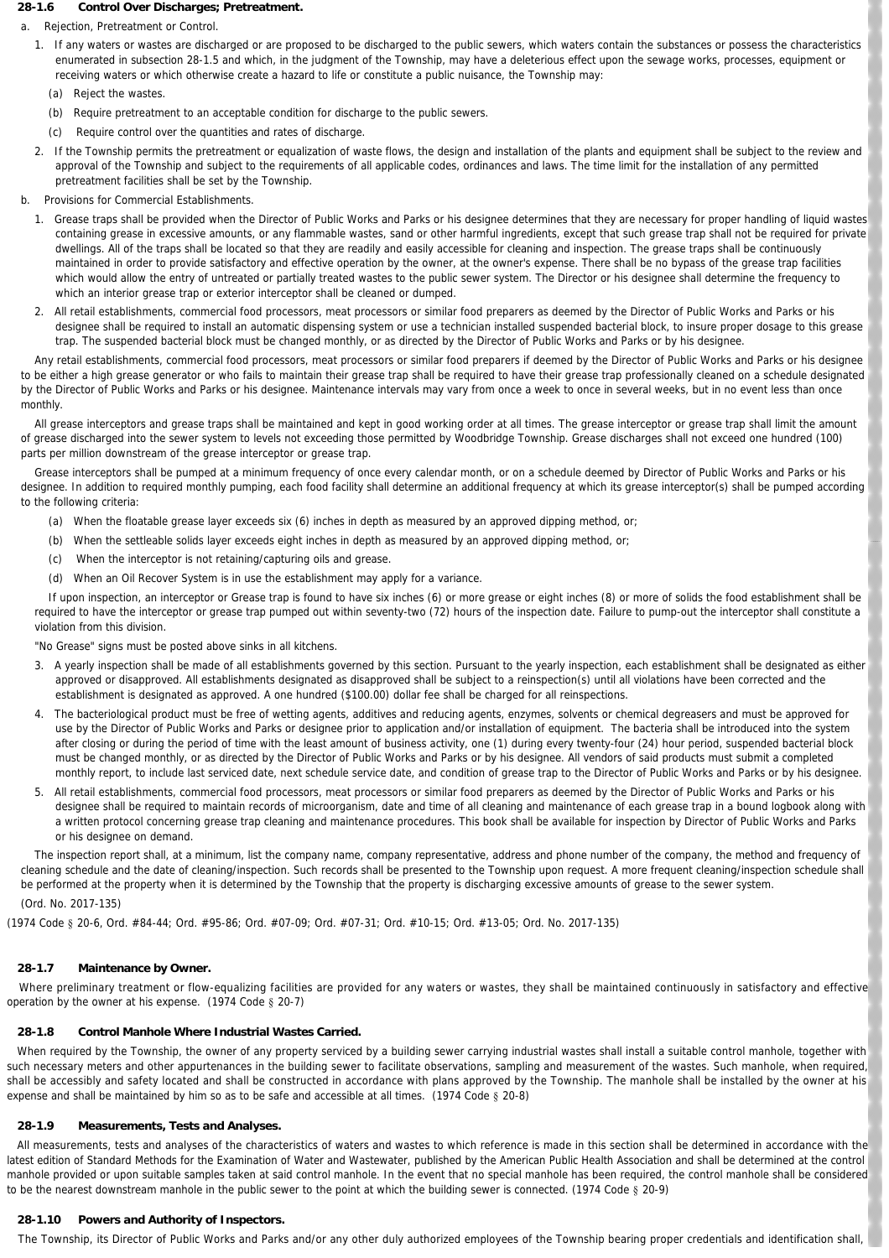### **28-1.6 Control Over Discharges; Pretreatment.**

a. *Rejection, Pretreatment or Control.*

- 1. If any waters or wastes are discharged or are proposed to be discharged to the public sewers, which waters contain the substances or possess the characteristics enumerated in subsection 28-1.5 and which, in the judgment of the Township, may have a deleterious effect upon the sewage works, processes, equipment or receiving waters or which otherwise create a hazard to life or constitute a public nuisance, the Township may:
	- (a) Reject the wastes.
	- (b) Require pretreatment to an acceptable condition for discharge to the public sewers.
	- (c) Require control over the quantities and rates of discharge.
- 2. If the Township permits the pretreatment or equalization of waste flows, the design and installation of the plants and equipment shall be subject to the review and approval of the Township and subject to the requirements of all applicable codes, ordinances and laws. The time limit for the installation of any permitted pretreatment facilities shall be set by the Township.
- b. *Provisions for Commercial Establishments.*
	- 1. Grease traps shall be provided when the Director of Public Works and Parks or his designee determines that they are necessary for proper handling of liquid wastes containing grease in excessive amounts, or any flammable wastes, sand or other harmful ingredients, except that such grease trap shall not be required for private dwellings. All of the traps shall be located so that they are readily and easily accessible for cleaning and inspection. The grease traps shall be continuously maintained in order to provide satisfactory and effective operation by the owner, at the owner's expense. There shall be no bypass of the grease trap facilities which would allow the entry of untreated or partially treated wastes to the public sewer system. The Director or his designee shall determine the frequency to which an interior grease trap or exterior interceptor shall be cleaned or dumped.
	- 2. All retail establishments, commercial food processors, meat processors or similar food preparers as deemed by the Director of Public Works and Parks or his designee shall be required to install an automatic dispensing system or use a technician installed suspended bacterial block, to insure proper dosage to this grease trap. The suspended bacterial block must be changed monthly, or as directed by the Director of Public Works and Parks or by his designee.

Any retail establishments, commercial food processors, meat processors or similar food preparers if deemed by the Director of Public Works and Parks or his designee to be either a high grease generator or who fails to maintain their grease trap shall be required to have their grease trap professionally cleaned on a schedule designated by the Director of Public Works and Parks or his designee. Maintenance intervals may vary from once a week to once in several weeks, but in no event less than once monthly.

All grease interceptors and grease traps shall be maintained and kept in good working order at all times. The grease interceptor or grease trap shall limit the amount of grease discharged into the sewer system to levels not exceeding those permitted by Woodbridge Township. Grease discharges shall not exceed one hundred (100) parts per million downstream of the grease interceptor or grease trap.

Grease interceptors shall be pumped at a minimum frequency of once every calendar month, or on a schedule deemed by Director of Public Works and Parks or his designee. In addition to required monthly pumping, each food facility shall determine an additional frequency at which its grease interceptor(s) shall be pumped according to the following criteria:

- (a) When the floatable grease layer exceeds six (6) inches in depth as measured by an approved dipping method, or;
- (b) When the settleable solids layer exceeds eight inches in depth as measured by an approved dipping method, or;
- (c) When the interceptor is not retaining/capturing oils and grease.
- (d) When an Oil Recover System is in use the establishment may apply for a variance.

If upon inspection, an interceptor or Grease trap is found to have six inches (6) or more grease or eight inches (8) or more of solids the food establishment shall be required to have the interceptor or grease trap pumped out within seventy-two (72) hours of the inspection date. Failure to pump-out the interceptor shall constitute a violation from this division.

"No Grease" signs must be posted above sinks in all kitchens.

- 3. A yearly inspection shall be made of all establishments governed by this section. Pursuant to the yearly inspection, each establishment shall be designated as either approved or disapproved. All establishments designated as disapproved shall be subject to a reinspection(s) until all violations have been corrected and the establishment is designated as approved. A one hundred (\$100.00) dollar fee shall be charged for all reinspections.
- 4. The bacteriological product must be free of wetting agents, additives and reducing agents, enzymes, solvents or chemical degreasers and must be approved for use by the Director of Public Works and Parks or designee prior to application and/or installation of equipment. The bacteria shall be introduced into the system after closing or during the period of time with the least amount of business activity, one (1) during every twenty-four (24) hour period, suspended bacterial block must be changed monthly, or as directed by the Director of Public Works and Parks or by his designee. All vendors of said products must submit a completed monthly report, to include last serviced date, next schedule service date, and condition of grease trap to the Director of Public Works and Parks or by his designee.
- 5. All retail establishments, commercial food processors, meat processors or similar food preparers as deemed by the Director of Public Works and Parks or his designee shall be required to maintain records of microorganism, date and time of all cleaning and maintenance of each grease trap in a bound logbook along with a written protocol concerning grease trap cleaning and maintenance procedures. This book shall be available for inspection by Director of Public Works and Parks or his designee on demand.

The inspection report shall, at a minimum, list the company name, company representative, address and phone number of the company, the method and frequency of cleaning schedule and the date of cleaning/inspection. Such records shall be presented to the Township upon request. A more frequent cleaning/inspection schedule shall be performed at the property when it is determined by the Township that the property is discharging excessive amounts of grease to the sewer system.

(Ord. No. 2017-135)

(1974 Code § 20-6, Ord. #84-44; Ord. #95-86; Ord. #07-09; Ord. #07-31; Ord. #10-15; Ord. #13-05; Ord. No. 2017-135)

# **28-1.7 Maintenance by Owner.**

Where preliminary treatment or flow-equalizing facilities are provided for any waters or wastes, they shall be maintained continuously in satisfactory and effective operation by the owner at his expense. (1974 Code § 20-7)

### **28-1.8 Control Manhole Where Industrial Wastes Carried.**

When required by the Township, the owner of any property serviced by a building sewer carrying industrial wastes shall install a suitable control manhole, together with such necessary meters and other appurtenances in the building sewer to facilitate observations, sampling and measurement of the wastes. Such manhole, when required, shall be accessibly and safety located and shall be constructed in accordance with plans approved by the Township. The manhole shall be installed by the owner at his expense and shall be maintained by him so as to be safe and accessible at all times. (1974 Code § 20-8)

# **28-1.9 Measurements, Tests and Analyses.**

All measurements, tests and analyses of the characteristics of waters and wastes to which reference is made in this section shall be determined in accordance with the latest edition of Standard Methods for the Examination of Water and Wastewater, published by the American Public Health Association and shall be determined at the control manhole provided or upon suitable samples taken at said control manhole. In the event that no special manhole has been required, the control manhole shall be considered to be the nearest downstream manhole in the public sewer to the point at which the building sewer is connected. (1974 Code § 20-9)

# **28-1.10 Powers and Authority of Inspectors.**

The Township, its Director of Public Works and Parks and/or any other duly authorized employees of the Township bearing proper credentials and identification shall,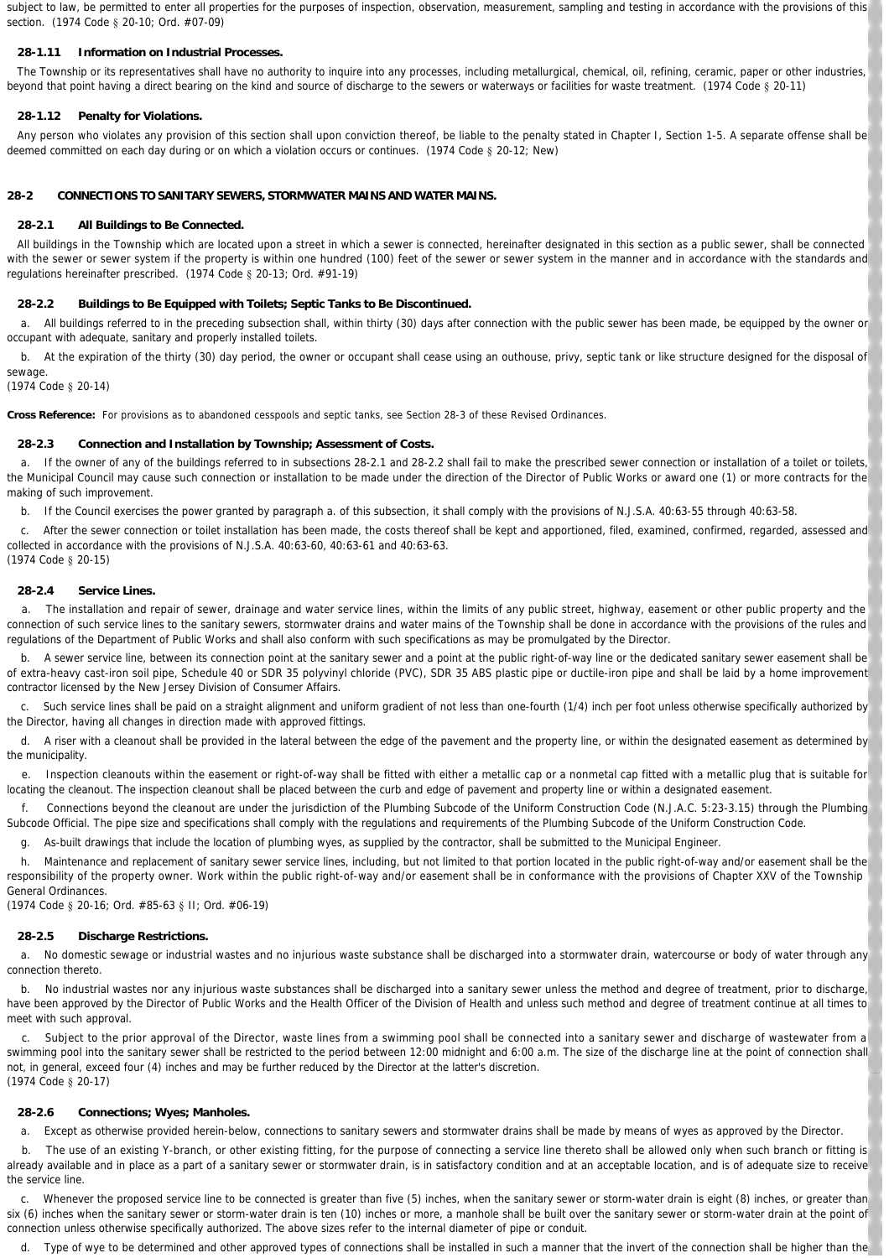subject to law, be permitted to enter all properties for the purposes of inspection, observation, measurement, sampling and testing in accordance with the provisions of this section. (1974 Code § 20-10; Ord. #07-09)

### **28-1.11 Information on Industrial Processes.**

The Township or its representatives shall have no authority to inquire into any processes, including metallurgical, chemical, oil, refining, ceramic, paper or other industries, beyond that point having a direct bearing on the kind and source of discharge to the sewers or waterways or facilities for waste treatment. (1974 Code § 20-11)

### **28-1.12 Penalty for Violations.**

Any person who violates any provision of this section shall upon conviction thereof, be liable to the penalty stated in Chapter I, Section 1-5. A separate offense shall be deemed committed on each day during or on which a violation occurs or continues. (1974 Code § 20-12; New)

# **28-2 CONNECTIONS TO SANITARY SEWERS, STORMWATER MAINS AND WATER MAINS.**

#### **28-2.1 All Buildings to Be Connected.**

All buildings in the Township which are located upon a street in which a sewer is connected, hereinafter designated in this section as a public sewer, shall be connected with the sewer or sewer system if the property is within one hundred (100) feet of the sewer or sewer system in the manner and in accordance with the standards and regulations hereinafter prescribed. (1974 Code § 20-13; Ord. #91-19)

#### **28-2.2 Buildings to Be Equipped with Toilets; Septic Tanks to Be Discontinued.**

 a. All buildings referred to in the preceding subsection shall, within thirty (30) days after connection with the public sewer has been made, be equipped by the owner or occupant with adequate, sanitary and properly installed toilets.

b. At the expiration of the thirty (30) day period, the owner or occupant shall cease using an outhouse, privy, septic tank or like structure designed for the disposal of

sewage. (1974 Code § 20-14)

**Cross Reference:** For provisions as to abandoned cesspools and septic tanks, see Section 28-3 of these Revised Ordinances.

### **28-2.3 Connection and Installation by Township; Assessment of Costs.**

a. If the owner of any of the buildings referred to in subsections 28-2.1 and 28-2.2 shall fail to make the prescribed sewer connection or installation of a toilet or toilets, the Municipal Council may cause such connection or installation to be made under the direction of the Director of Public Works or award one (1) or more contracts for the making of such improvement.

b. If the Council exercises the power granted by paragraph a. of this subsection, it shall comply with the provisions of N.J.S.A. 40:63-55 through 40:63-58.

 c. After the sewer connection or toilet installation has been made, the costs thereof shall be kept and apportioned, filed, examined, confirmed, regarded, assessed and collected in accordance with the provisions of N.J.S.A. 40:63-60, 40:63-61 and 40:63-63. (1974 Code § 20-15)

#### **28-2.4 Service Lines.**

 a. The installation and repair of sewer, drainage and water service lines, within the limits of any public street, highway, easement or other public property and the connection of such service lines to the sanitary sewers, stormwater drains and water mains of the Township shall be done in accordance with the provisions of the rules and regulations of the Department of Public Works and shall also conform with such specifications as may be promulgated by the Director.

b. A sewer service line, between its connection point at the sanitary sewer and a point at the public right-of-way line or the dedicated sanitary sewer easement shall be of extra-heavy cast-iron soil pipe, Schedule 40 or SDR 35 polyvinyl chloride (PVC), SDR 35 ABS plastic pipe or ductile-iron pipe and shall be laid by a home improvement contractor licensed by the New Jersey Division of Consumer Affairs.

 c. Such service lines shall be paid on a straight alignment and uniform gradient of not less than one-fourth (1/4) inch per foot unless otherwise specifically authorized by the Director, having all changes in direction made with approved fittings.

 d. A riser with a cleanout shall be provided in the lateral between the edge of the pavement and the property line, or within the designated easement as determined by the municipality.

 e. Inspection cleanouts within the easement or right-of-way shall be fitted with either a metallic cap or a nonmetal cap fitted with a metallic plug that is suitable for locating the cleanout. The inspection cleanout shall be placed between the curb and edge of pavement and property line or within a designated easement.

 f. Connections beyond the cleanout are under the jurisdiction of the Plumbing Subcode of the Uniform Construction Code (N.J.A.C. 5:23-3.15) through the Plumbing Subcode Official. The pipe size and specifications shall comply with the regulations and requirements of the Plumbing Subcode of the Uniform Construction Code.

g. As-built drawings that include the location of plumbing wyes, as supplied by the contractor, shall be submitted to the Municipal Engineer.

h. Maintenance and replacement of sanitary sewer service lines, including, but not limited to that portion located in the public right-of-way and/or easement shall be the responsibility of the property owner. Work within the public right-of-way and/or easement shall be in conformance with the provisions of Chapter XXV of the Township General Ordinances.

(1974 Code § 20-16; Ord. #85-63 § II; Ord. #06-19)

### **28-2.5 Discharge Restrictions.**

a. No domestic sewage or industrial wastes and no injurious waste substance shall be discharged into a stormwater drain, watercourse or body of water through any connection thereto.

 b. No industrial wastes nor any injurious waste substances shall be discharged into a sanitary sewer unless the method and degree of treatment, prior to discharge, have been approved by the Director of Public Works and the Health Officer of the Division of Health and unless such method and degree of treatment continue at all times to meet with such approval.

Subject to the prior approval of the Director, waste lines from a swimming pool shall be connected into a sanitary sewer and discharge of wastewater from a swimming pool into the sanitary sewer shall be restricted to the period between 12:00 midnight and 6:00 a.m. The size of the discharge line at the point of connection shall not, in general, exceed four (4) inches and may be further reduced by the Director at the latter's discretion. (1974 Code § 20-17)

#### **28-2.6 Connections; Wyes; Manholes.**

a. Except as otherwise provided herein-below, connections to sanitary sewers and stormwater drains shall be made by means of wyes as approved by the Director.

 b. The use of an existing Y-branch, or other existing fitting, for the purpose of connecting a service line thereto shall be allowed only when such branch or fitting is already available and in place as a part of a sanitary sewer or stormwater drain, is in satisfactory condition and at an acceptable location, and is of adequate size to receive the service line.

 c. Whenever the proposed service line to be connected is greater than five (5) inches, when the sanitary sewer or storm-water drain is eight (8) inches, or greater than six (6) inches when the sanitary sewer or storm-water drain is ten (10) inches or more, a manhole shall be built over the sanitary sewer or storm-water drain at the point of connection unless otherwise specifically authorized. The above sizes refer to the internal diameter of pipe or conduit.

d. Type of wye to be determined and other approved types of connections shall be installed in such a manner that the invert of the connection shall be higher than the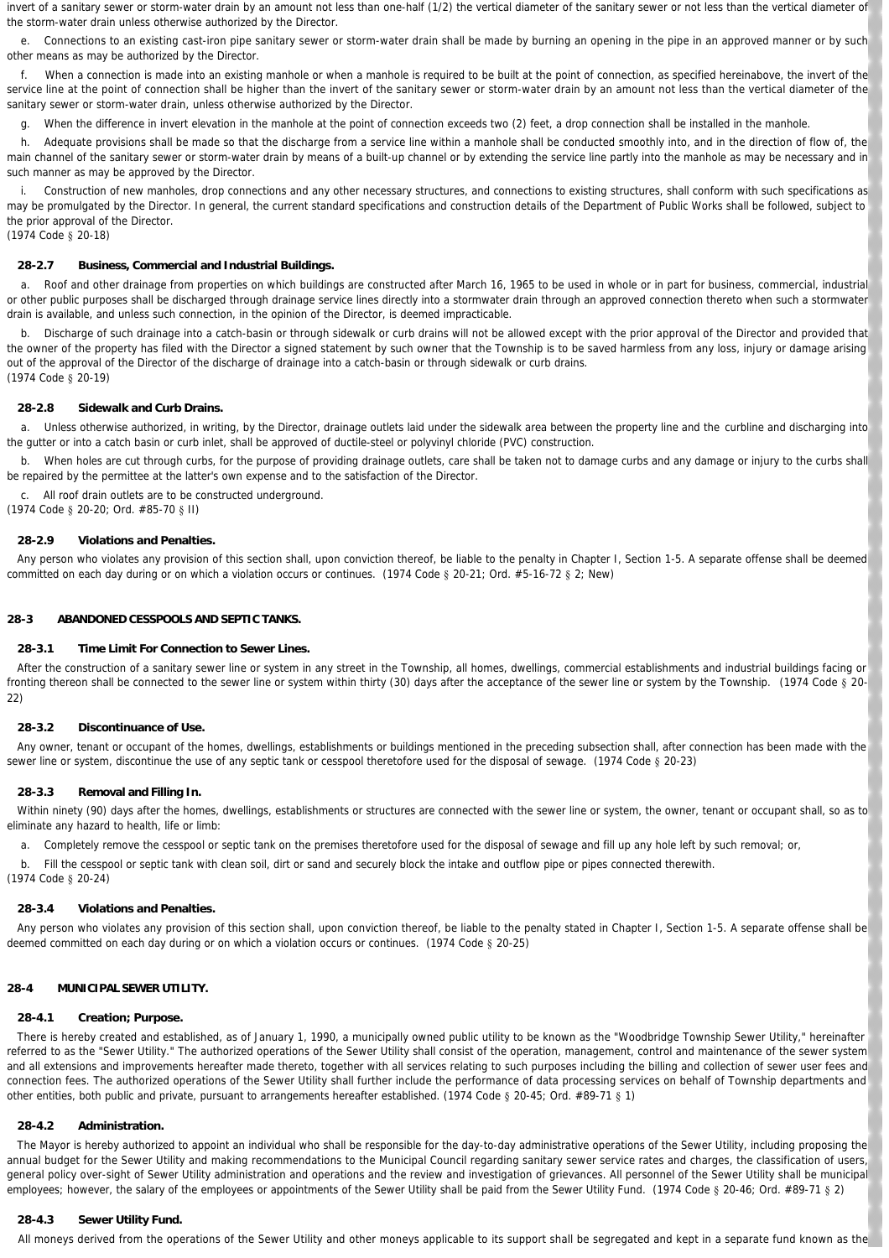invert of a sanitary sewer or storm-water drain by an amount not less than one-half (1/2) the vertical diameter of the sanitary sewer or not less than the vertical diameter of the storm-water drain unless otherwise authorized by the Director.

 e. Connections to an existing cast-iron pipe sanitary sewer or storm-water drain shall be made by burning an opening in the pipe in an approved manner or by such other means as may be authorized by the Director.

 f. When a connection is made into an existing manhole or when a manhole is required to be built at the point of connection, as specified hereinabove, the invert of the service line at the point of connection shall be higher than the invert of the sanitary sewer or storm-water drain by an amount not less than the vertical diameter of the sanitary sewer or storm-water drain, unless otherwise authorized by the Director.

g. When the difference in invert elevation in the manhole at the point of connection exceeds two (2) feet, a drop connection shall be installed in the manhole.

h. Adequate provisions shall be made so that the discharge from a service line within a manhole shall be conducted smoothly into, and in the direction of flow of, the main channel of the sanitary sewer or storm-water drain by means of a built-up channel or by extending the service line partly into the manhole as may be necessary and in such manner as may be approved by the Director.

Construction of new manholes, drop connections and any other necessary structures, and connections to existing structures, shall conform with such specifications as may be promulgated by the Director. In general, the current standard specifications and construction details of the Department of Public Works shall be followed, subject to the prior approval of the Director.

(1974 Code § 20-18)

### **28-2.7 Business, Commercial and Industrial Buildings.**

 a. Roof and other drainage from properties on which buildings are constructed after March 16, 1965 to be used in whole or in part for business, commercial, industrial or other public purposes shall be discharged through drainage service lines directly into a stormwater drain through an approved connection thereto when such a stormwater drain is available, and unless such connection, in the opinion of the Director, is deemed impracticable.

Discharge of such drainage into a catch-basin or through sidewalk or curb drains will not be allowed except with the prior approval of the Director and provided that the owner of the property has filed with the Director a signed statement by such owner that the Township is to be saved harmless from any loss, injury or damage arising out of the approval of the Director of the discharge of drainage into a catch-basin or through sidewalk or curb drains. (1974 Code § 20-19)

#### **28-2.8 Sidewalk and Curb Drains.**

 a. Unless otherwise authorized, in writing, by the Director, drainage outlets laid under the sidewalk area between the property line and the curbline and discharging into the gutter or into a catch basin or curb inlet, shall be approved of ductile-steel or polyvinyl chloride (PVC) construction.

b. When holes are cut through curbs, for the purpose of providing drainage outlets, care shall be taken not to damage curbs and any damage or injury to the curbs shall be repaired by the permittee at the latter's own expense and to the satisfaction of the Director.

c. All roof drain outlets are to be constructed underground.

(1974 Code § 20-20; Ord. #85-70 § II)

#### **28-2.9 Violations and Penalties.**

Any person who violates any provision of this section shall, upon conviction thereof, be liable to the penalty in Chapter I, Section 1-5. A separate offense shall be deemed committed on each day during or on which a violation occurs or continues. (1974 Code § 20-21; Ord. #5-16-72 § 2; New)

#### **28-3 ABANDONED CESSPOOLS AND SEPTIC TANKS.**

# **28-3.1 Time Limit For Connection to Sewer Lines.**

After the construction of a sanitary sewer line or system in any street in the Township, all homes, dwellings, commercial establishments and industrial buildings facing or fronting thereon shall be connected to the sewer line or system within thirty (30) days after the acceptance of the sewer line or system by the Township. (1974 Code § 20-22)

#### **28-3.2 Discontinuance of Use.**

Any owner, tenant or occupant of the homes, dwellings, establishments or buildings mentioned in the preceding subsection shall, after connection has been made with the sewer line or system, discontinue the use of any septic tank or cesspool theretofore used for the disposal of sewage. (1974 Code § 20-23)

### **28-3.3 Removal and Filling In.**

Within ninety (90) days after the homes, dwellings, establishments or structures are connected with the sewer line or system, the owner, tenant or occupant shall, so as to eliminate any hazard to health, life or limb:

a. Completely remove the cesspool or septic tank on the premises theretofore used for the disposal of sewage and fill up any hole left by such removal; or,

b. Fill the cesspool or septic tank with clean soil, dirt or sand and securely block the intake and outflow pipe or pipes connected therewith.

(1974 Code § 20-24)

# **28-3.4 Violations and Penalties.**

Any person who violates any provision of this section shall, upon conviction thereof, be liable to the penalty stated in Chapter I, Section 1-5. A separate offense shall be deemed committed on each day during or on which a violation occurs or continues. (1974 Code § 20-25)

### **28-4 MUNICIPAL SEWER UTILITY.**

#### **28-4.1 Creation; Purpose.**

There is hereby created and established, as of January 1, 1990, a municipally owned public utility to be known as the "Woodbridge Township Sewer Utility," hereinafter referred to as the "Sewer Utility." The authorized operations of the Sewer Utility shall consist of the operation, management, control and maintenance of the sewer system and all extensions and improvements hereafter made thereto, together with all services relating to such purposes including the billing and collection of sewer user fees and connection fees. The authorized operations of the Sewer Utility shall further include the performance of data processing services on behalf of Township departments and other entities, both public and private, pursuant to arrangements hereafter established. (1974 Code § 20-45; Ord. #89-71 § 1)

#### **28-4.2 Administration.**

The Mayor is hereby authorized to appoint an individual who shall be responsible for the day-to-day administrative operations of the Sewer Utility, including proposing the annual budget for the Sewer Utility and making recommendations to the Municipal Council regarding sanitary sewer service rates and charges, the classification of users, general policy over-sight of Sewer Utility administration and operations and the review and investigation of grievances. All personnel of the Sewer Utility shall be municipal employees; however, the salary of the employees or appointments of the Sewer Utility shall be paid from the Sewer Utility Fund. (1974 Code § 20-46; Ord. #89-71 § 2)

# **28-4.3 Sewer Utility Fund.**

All moneys derived from the operations of the Sewer Utility and other moneys applicable to its support shall be segregated and kept in a separate fund known as the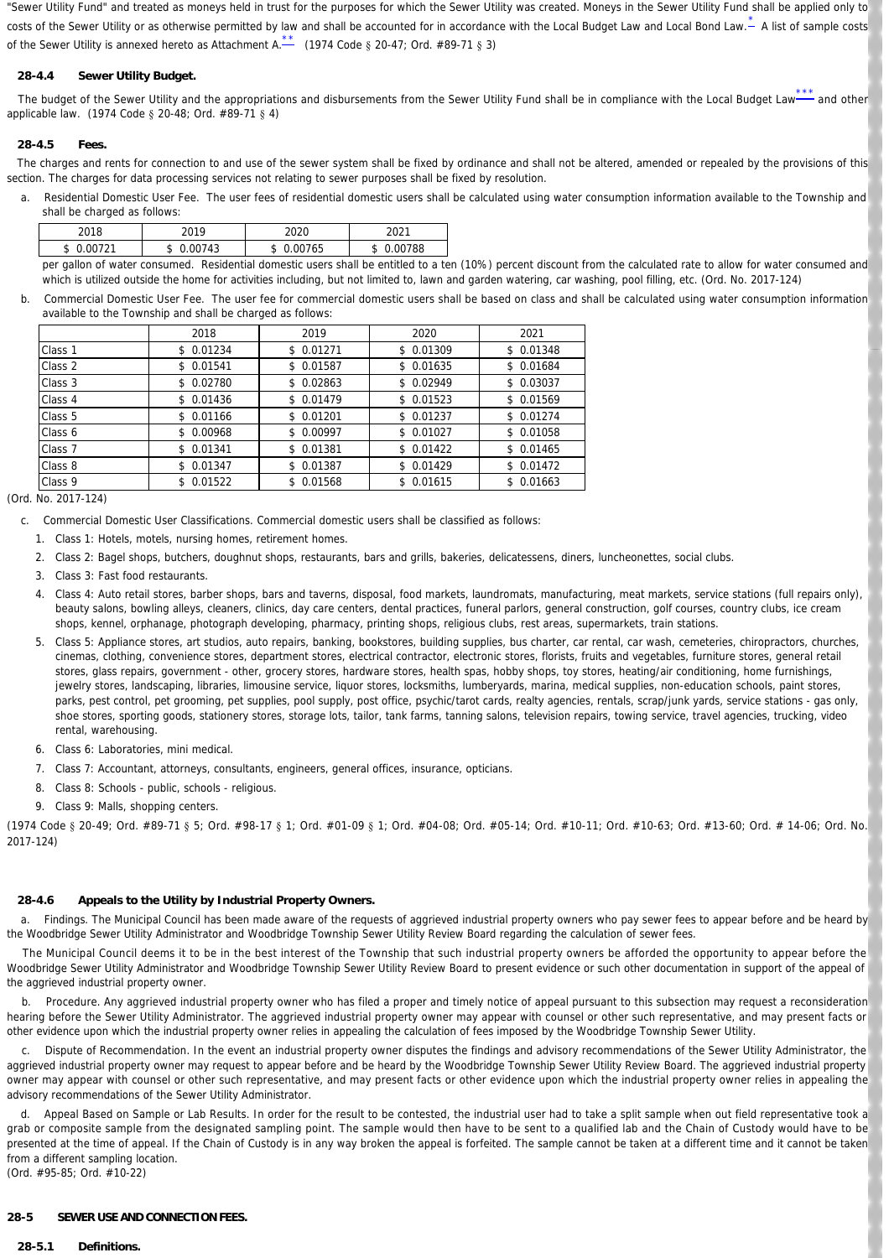"Sewer Utility Fund" and treated as moneys held in trust for the purposes for which the Sewer Utility was created. Moneys in the Sewer Utility Fund shall be applied only to costs of the Sewer Utility or as otherwise permitted by law and shall be accounted for in accordance with the Local Budget Law and Local Bond Law.  $\stackrel{*}{\text{A}}$  $\stackrel{*}{\text{A}}$  $\stackrel{*}{\text{A}}$  list of sample costs of the Sewer Utility is annexed hereto as Attachment A. $\stackrel{**}{\leftharpoonup}$  $\stackrel{**}{\leftharpoonup}$  $\stackrel{**}{\leftharpoonup}$  (1974 Code § 20-47; Ord. #89-71 § 3)

# <span id="page-4-1"></span>**28-4.4 Sewer Utility Budget.**

The budget of the Sewer Utility and the appropriations and disbursements from the Sewer Utility Fund shall be in compliance with the Local Budget Lawapplicable law. (1974 Code § 20-48; Ord. #89-71 § 4)  $-$  and other

### **28-4.5 Fees.**

The charges and rents for connection to and use of the sewer system shall be fixed by ordinance and shall not be altered, amended or repealed by the provisions of this section. The charges for data processing services not relating to sewer purposes shall be fixed by resolution.

 a. *Residential Domestic User Fee.* The user fees of residential domestic users shall be calculated using water consumption information available to the Township and shall be charged as follows:

<span id="page-4-2"></span><span id="page-4-0"></span>

| าก1 ก | 0.40 | 2022      | 0.004     |
|-------|------|-----------|-----------|
| - D   | ת.   | 765<br>۰D | 788<br>.D |

per gallon of water consumed. Residential domestic users shall be entitled to a ten (10%) percent discount from the calculated rate to allow for water consumed and which is utilized outside the home for activities including, but not limited to, lawn and garden watering, car washing, pool filling, etc. (Ord. No. 2017-124)

 b. *Commercial Domestic User Fee.* The user fee for commercial domestic users shall be based on class and shall be calculated using water consumption information available to the Township and shall be charged as follows:

|                    | 2018      | 2019      | 2020       | 2021      |
|--------------------|-----------|-----------|------------|-----------|
| Class 1            | \$0.01234 | \$0.01271 | \$ 0.01309 | \$0.01348 |
| Class 2            | \$0.01541 | \$0.01587 | \$0.01635  | \$0.01684 |
| Class 3            | \$0.02780 | \$0.02863 | \$0.02949  | \$0.03037 |
| Class 4            | \$0.01436 | \$0.01479 | \$0.01523  | \$0.01569 |
| Class 5            | \$0.01166 | \$0.01201 | \$0.01237  | \$0.01274 |
| Class 6            | \$0.00968 | \$0.00997 | \$0.01027  | \$0.01058 |
| Class 7            | \$0.01341 | \$0.01381 | \$0.01422  | \$0.01465 |
| Class 8            | \$0.01347 | \$0.01387 | \$0.01429  | \$0.01472 |
| Class <sub>9</sub> | \$0.01522 | 0.01568   | \$0.01615  | \$0.01663 |

(Ord. No. 2017-124)

- c. *Commercial Domestic User Classifications*. Commercial domestic users shall be classified as follows:
	- 1. Class 1: Hotels, motels, nursing homes, retirement homes.
	- 2. Class 2: Bagel shops, butchers, doughnut shops, restaurants, bars and grills, bakeries, delicatessens, diners, luncheonettes, social clubs.
	- 3. Class 3: Fast food restaurants.
	- 4. Class 4: Auto retail stores, barber shops, bars and taverns, disposal, food markets, laundromats, manufacturing, meat markets, service stations (full repairs only), beauty salons, bowling alleys, cleaners, clinics, day care centers, dental practices, funeral parlors, general construction, golf courses, country clubs, ice cream shops, kennel, orphanage, photograph developing, pharmacy, printing shops, religious clubs, rest areas, supermarkets, train stations.
	- 5. Class 5: Appliance stores, art studios, auto repairs, banking, bookstores, building supplies, bus charter, car rental, car wash, cemeteries, chiropractors, churches, cinemas, clothing, convenience stores, department stores, electrical contractor, electronic stores, florists, fruits and vegetables, furniture stores, general retail stores, glass repairs, government - other, grocery stores, hardware stores, health spas, hobby shops, toy stores, heating/air conditioning, home furnishings, jewelry stores, landscaping, libraries, limousine service, liquor stores, locksmiths, lumberyards, marina, medical supplies, non-education schools, paint stores, parks, pest control, pet grooming, pet supplies, pool supply, post office, psychic/tarot cards, realty agencies, rentals, scrap/junk yards, service stations - gas only, shoe stores, sporting goods, stationery stores, storage lots, tailor, tank farms, tanning salons, television repairs, towing service, travel agencies, trucking, video rental, warehousing.
	- 6. Class 6: Laboratories, mini medical.
	- 7. Class 7: Accountant, attorneys, consultants, engineers, general offices, insurance, opticians.
	- 8. Class 8: Schools public, schools religious.
	- 9. Class 9: Malls, shopping centers.

(1974 Code § 20-49; Ord. #89-71 § 5; Ord. #98-17 § 1; Ord. #01-09 § 1; Ord. #04-08; Ord. #05-14; Ord. #10-11; Ord. #10-63; Ord. #13-60; Ord. # 14-06; Ord. No. 2017-124)

# **28-4.6 Appeals to the Utility by Industrial Property Owners.**

 a. *Findings.* The Municipal Council has been made aware of the requests of aggrieved industrial property owners who pay sewer fees to appear before and be heard by the Woodbridge Sewer Utility Administrator and Woodbridge Township Sewer Utility Review Board regarding the calculation of sewer fees.

 The Municipal Council deems it to be in the best interest of the Township that such industrial property owners be afforded the opportunity to appear before the Woodbridge Sewer Utility Administrator and Woodbridge Township Sewer Utility Review Board to present evidence or such other documentation in support of the appeal of the aggrieved industrial property owner.

 b. *Procedure.* Any aggrieved industrial property owner who has filed a proper and timely notice of appeal pursuant to this subsection may request a reconsideration hearing before the Sewer Utility Administrator. The aggrieved industrial property owner may appear with counsel or other such representative, and may present facts or other evidence upon which the industrial property owner relies in appealing the calculation of fees imposed by the Woodbridge Township Sewer Utility.

 c. *Dispute of Recommendation.* In the event an industrial property owner disputes the findings and advisory recommendations of the Sewer Utility Administrator, the aggrieved industrial property owner may request to appear before and be heard by the Woodbridge Township Sewer Utility Review Board. The aggrieved industrial property owner may appear with counsel or other such representative, and may present facts or other evidence upon which the industrial property owner relies in appealing the advisory recommendations of the Sewer Utility Administrator.

 d. *Appeal Based on Sample or Lab Results.* In order for the result to be contested, the industrial user had to take a split sample when out field representative took a grab or composite sample from the designated sampling point. The sample would then have to be sent to a qualified lab and the Chain of Custody would have to be presented at the time of appeal. If the Chain of Custody is in any way broken the appeal is forfeited. The sample cannot be taken at a different time and it cannot be taken from a different sampling location.

(Ord. #95-85; Ord. #10-22)

# **28-5 SEWER USE AND CONNECTION FEES.**

### **28-5.1 Definitions.**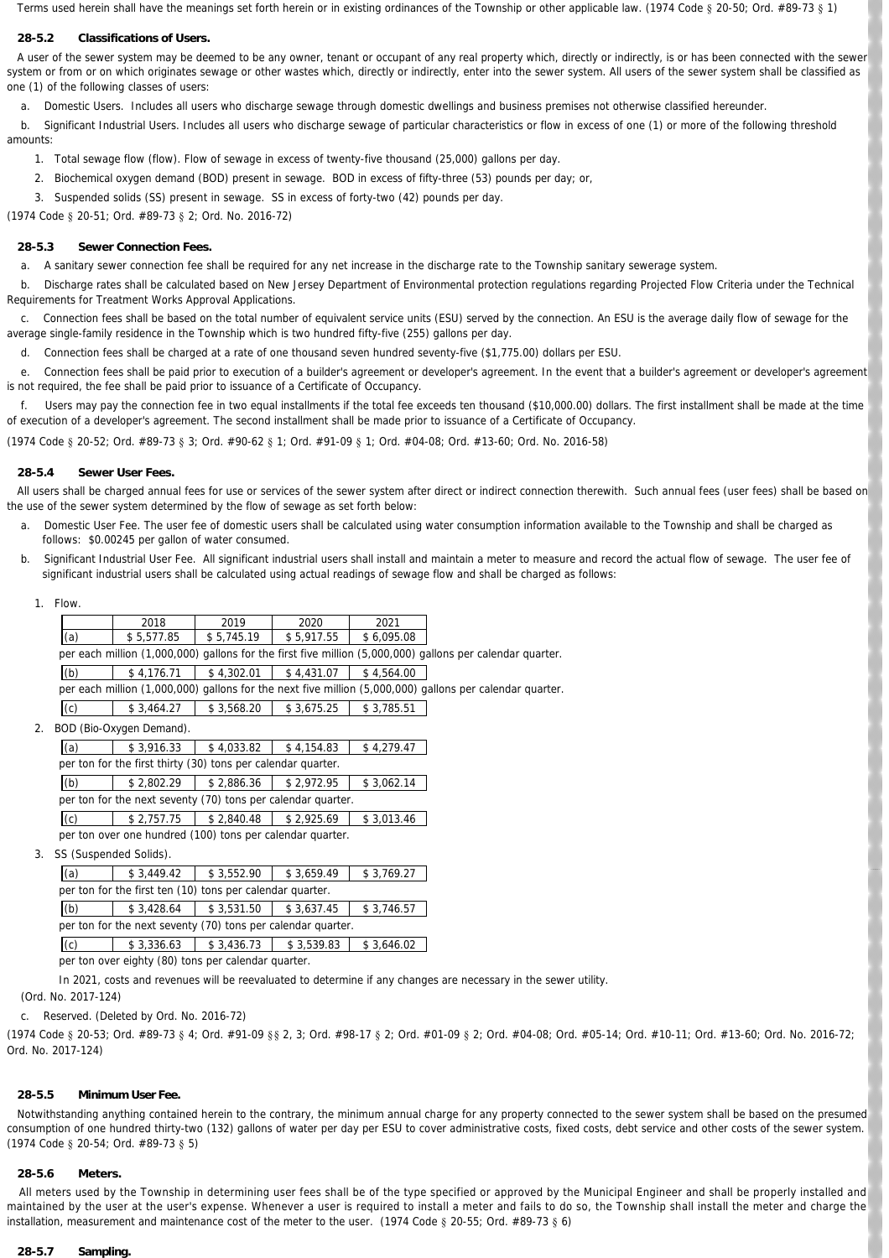Terms used herein shall have the meanings set forth herein or in existing ordinances of the Township or other applicable law. (1974 Code § 20-50; Ord. #89-73 § 1)

# **28-5.2 Classifications of Users.**

A user of the sewer system may be deemed to be any owner, tenant or occupant of any real property which, directly or indirectly, is or has been connected with the sewer system or from or on which originates sewage or other wastes which, directly or indirectly, enter into the sewer system. All users of the sewer system shall be classified as one (1) of the following classes of users:

a. *Domestic Users.* Includes all users who discharge sewage through domestic dwellings and business premises not otherwise classified hereunder.

b. Significant Industrial Users. Includes all users who discharge sewage of particular characteristics or flow in excess of one (1) or more of the following threshold amounts:

- 1. Total sewage flow (flow). Flow of sewage in excess of twenty-five thousand (25,000) gallons per day.
- 2. Biochemical oxygen demand (BOD) present in sewage. BOD in excess of fifty-three (53) pounds per day; or,
- 3. Suspended solids (SS) present in sewage. SS in excess of forty-two (42) pounds per day.

(1974 Code § 20-51; Ord. #89-73 § 2; Ord. No. 2016-72)

# **28-5.3 Sewer Connection Fees.**

a. A sanitary sewer connection fee shall be required for any net increase in the discharge rate to the Township sanitary sewerage system.

 b. Discharge rates shall be calculated based on New Jersey Department of Environmental protection regulations regarding Projected Flow Criteria under the Technical Requirements for Treatment Works Approval Applications.

 c. Connection fees shall be based on the total number of equivalent service units (ESU) served by the connection. An ESU is the average daily flow of sewage for the average single-family residence in the Township which is two hundred fifty-five (255) gallons per day.

d. Connection fees shall be charged at a rate of one thousand seven hundred seventy-five (\$1,775.00) dollars per ESU.

e. Connection fees shall be paid prior to execution of a builder's agreement or developer's agreement. In the event that a builder's agreement or developer's agreement is not required, the fee shall be paid prior to issuance of a Certificate of Occupancy.

Users may pay the connection fee in two equal installments if the total fee exceeds ten thousand (\$10,000.00) dollars. The first installment shall be made at the time of execution of a developer's agreement. The second installment shall be made prior to issuance of a Certificate of Occupancy.

(1974 Code § 20-52; Ord. #89-73 § 3; Ord. #90-62 § 1; Ord. #91-09 § 1; Ord. #04-08; Ord. #13-60; Ord. No. 2016-58)

### **28-5.4 Sewer User Fees.**

All users shall be charged annual fees for use or services of the sewer system after direct or indirect connection therewith. Such annual fees (user fees) shall be based on the use of the sewer system determined by the flow of sewage as set forth below:

- a. *Domestic User Fee.* The user fee of domestic users shall be calculated using water consumption information available to the Township and shall be charged as follows: \$0.00245 per gallon of water consumed.
- b. *Significant Industrial User Fee.* All significant industrial users shall install and maintain a meter to measure and record the actual flow of sewage. The user fee of significant industrial users shall be calculated using actual readings of sewage flow and shall be charged as follows:
	- 1. Flow.

|     | 2018       | 2019       | 2020       | 2021       |                                                                                                           |
|-----|------------|------------|------------|------------|-----------------------------------------------------------------------------------------------------------|
| (a) | \$5.577.85 | \$5.745.19 | \$5.917.55 | \$6.095.08 |                                                                                                           |
|     |            |            |            |            | per each million (1,000,000) gallons for the first five million (5,000,000) gallons per calendar quarter. |
| (b) | \$4.176.71 | \$4.302.01 | \$4.431.07 | \$4.564.00 |                                                                                                           |
|     |            |            |            |            | per each million (1,000,000) gallons for the next five million (5,000,000) gallons per calendar quarter.  |
| (c) | \$3,464.27 | \$3,568.20 | \$3,675.25 | \$3,785.51 |                                                                                                           |

2. BOD (Bio-Oxygen Demand).

| , וטווסיט אישרוים (ישטע),                                    |            |            |            |            |  |  |
|--------------------------------------------------------------|------------|------------|------------|------------|--|--|
| (a)                                                          | \$3,916.33 | \$4,033.82 | \$4,154.83 | \$4,279.47 |  |  |
| per ton for the first thirty (30) tons per calendar quarter. |            |            |            |            |  |  |
| (b)                                                          | \$2.802.29 | \$2,886.36 | \$2.972.95 | \$3,062.14 |  |  |
| per ton for the next seventy (70) tons per calendar quarter. |            |            |            |            |  |  |
| (c)                                                          | \$2,757.75 | \$2.840.48 | \$2.925.69 | \$3,013.46 |  |  |
| per ton over one hundred (100) tons per calendar quarter.    |            |            |            |            |  |  |

3. SS (Suspended Solids).

| (a)                                                          | \$3.449.42 | \$3,552.90 | \$3,659.49 | \$3,769.27 |  |  |
|--------------------------------------------------------------|------------|------------|------------|------------|--|--|
| per ton for the first ten (10) tons per calendar quarter.    |            |            |            |            |  |  |
| (b)                                                          | \$3.428.64 | \$3,531.50 | \$3,637.45 | \$3.746.57 |  |  |
| per ton for the next seventy (70) tons per calendar quarter. |            |            |            |            |  |  |
| (c)                                                          | \$3,336.63 | \$3,436.73 | \$3,539.83 | \$3,646.02 |  |  |

per ton over eighty (80) tons per calendar quarter.

In 2021, costs and revenues will be reevaluated to determine if any changes are necessary in the sewer utility.

(Ord. No. 2017-124)

c. Reserved. (Deleted by Ord. No. 2016-72)

(1974 Code § 20-53; Ord. #89-73 § 4; Ord. #91-09 §§ 2, 3; Ord. #98-17 § 2; Ord. #01-09 § 2; Ord. #04-08; Ord. #05-14; Ord. #10-11; Ord. #13-60; Ord. No. 2016-72; Ord. No. 2017-124)

### **28-5.5 Minimum User Fee.**

Notwithstanding anything contained herein to the contrary, the minimum annual charge for any property connected to the sewer system shall be based on the presumed consumption of one hundred thirty-two (132) gallons of water per day per ESU to cover administrative costs, fixed costs, debt service and other costs of the sewer system. (1974 Code § 20-54; Ord. #89-73 § 5)

### **28-5.6 Meters.**

All meters used by the Township in determining user fees shall be of the type specified or approved by the Municipal Engineer and shall be properly installed and maintained by the user at the user's expense. Whenever a user is required to install a meter and fails to do so, the Township shall install the meter and charge the installation, measurement and maintenance cost of the meter to the user. (1974 Code § 20-55; Ord. #89-73 § 6)

#### **28-5.7 Sampling.**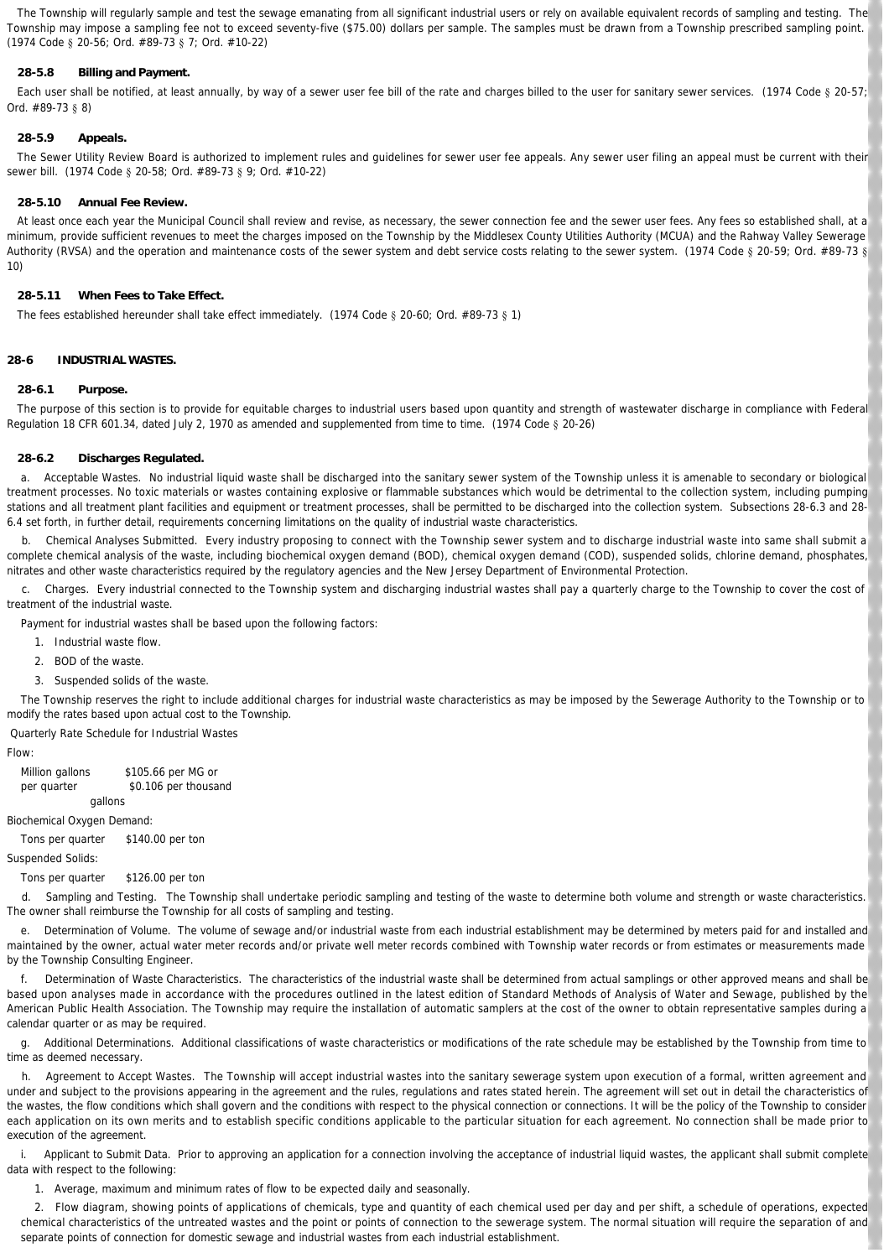The Township will regularly sample and test the sewage emanating from all significant industrial users or rely on available equivalent records of sampling and testing. The Township may impose a sampling fee not to exceed seventy-five (\$75.00) dollars per sample. The samples must be drawn from a Township prescribed sampling point. (1974 Code § 20-56; Ord. #89-73 § 7; Ord. #10-22)

# **28-5.8 Billing and Payment.**

Each user shall be notified, at least annually, by way of a sewer user fee bill of the rate and charges billed to the user for sanitary sewer services. (1974 Code § 20-57; Ord. #89-73 § 8)

# **28-5.9 Appeals.**

The Sewer Utility Review Board is authorized to implement rules and guidelines for sewer user fee appeals. Any sewer user filing an appeal must be current with their sewer bill. (1974 Code § 20-58; Ord. #89-73 § 9; Ord. #10-22)

### **28-5.10 Annual Fee Review.**

At least once each year the Municipal Council shall review and revise, as necessary, the sewer connection fee and the sewer user fees. Any fees so established shall, at a minimum, provide sufficient revenues to meet the charges imposed on the Township by the Middlesex County Utilities Authority (MCUA) and the Rahway Valley Sewerage Authority (RVSA) and the operation and maintenance costs of the sewer system and debt service costs relating to the sewer system. (1974 Code § 20-59; Ord. #89-73 § 10)

#### **28-5.11 When Fees to Take Effect.**

The fees established hereunder shall take effect immediately. (1974 Code § 20-60; Ord. #89-73 § 1)

### **28-6 INDUSTRIAL WASTES.**

### **28-6.1 Purpose.**

The purpose of this section is to provide for equitable charges to industrial users based upon quantity and strength of wastewater discharge in compliance with Federal Regulation 18 CFR 601.34, dated July 2, 1970 as amended and supplemented from time to time. (1974 Code § 20-26)

#### **28-6.2 Discharges Regulated.**

 a. *Acceptable Wastes.* No industrial liquid waste shall be discharged into the sanitary sewer system of the Township unless it is amenable to secondary or biological treatment processes. No toxic materials or wastes containing explosive or flammable substances which would be detrimental to the collection system, including pumping stations and all treatment plant facilities and equipment or treatment processes, shall be permitted to be discharged into the collection system. Subsections 28-6.3 and 28- 6.4 set forth, in further detail, requirements concerning limitations on the quality of industrial waste characteristics.

 b. *Chemical Analyses Submitted.* Every industry proposing to connect with the Township sewer system and to discharge industrial waste into same shall submit a complete chemical analysis of the waste, including biochemical oxygen demand (BOD), chemical oxygen demand (COD), suspended solids, chlorine demand, phosphates, nitrates and other waste characteristics required by the regulatory agencies and the New Jersey Department of Environmental Protection.

 c. *Charges.* Every industrial connected to the Township system and discharging industrial wastes shall pay a quarterly charge to the Township to cover the cost of treatment of the industrial waste.

Payment for industrial wastes shall be based upon the following factors:

1. Industrial waste flow.

2. BOD of the waste.

3. Suspended solids of the waste.

 The Township reserves the right to include additional charges for industrial waste characteristics as may be imposed by the Sewerage Authority to the Township or to modify the rates based upon actual cost to the Township.

*Quarterly Rate Schedule for Industrial Wastes*

#### *Flow:*

Million gallons \$105.66 per MG or per quarter \$0.106 per thousand gallons

*Biochemical Oxygen Demand:*

Tons per quarter \$140.00 per ton

*Suspended Solids:*

Tons per quarter \$126.00 per ton

 d. *Sampling and Testing.* The Township shall undertake periodic sampling and testing of the waste to determine both volume and strength or waste characteristics. The owner shall reimburse the Township for all costs of sampling and testing.

 e. *Determination of Volume.* The volume of sewage and/or industrial waste from each industrial establishment may be determined by meters paid for and installed and maintained by the owner, actual water meter records and/or private well meter records combined with Township water records or from estimates or measurements made by the Township Consulting Engineer.

 f. *Determination of Waste Characteristics.* The characteristics of the industrial waste shall be determined from actual samplings or other approved means and shall be based upon analyses made in accordance with the procedures outlined in the latest edition of Standard Methods of Analysis of Water and Sewage, published by the American Public Health Association. The Township may require the installation of automatic samplers at the cost of the owner to obtain representative samples during a calendar quarter or as may be required.

 g. *Additional Determinations.* Additional classifications of waste characteristics or modifications of the rate schedule may be established by the Township from time to time as deemed necessary.

 h. *Agreement to Accept Wastes.* The Township will accept industrial wastes into the sanitary sewerage system upon execution of a formal, written agreement and under and subject to the provisions appearing in the agreement and the rules, regulations and rates stated herein. The agreement will set out in detail the characteristics of the wastes, the flow conditions which shall govern and the conditions with respect to the physical connection or connections. It will be the policy of the Township to consider each application on its own merits and to establish specific conditions applicable to the particular situation for each agreement. No connection shall be made prior to execution of the agreement.

i. Applicant to Submit Data. Prior to approving an application for a connection involving the acceptance of industrial liquid wastes, the applicant shall submit complete data with respect to the following:

1. Average, maximum and minimum rates of flow to be expected daily and seasonally.

2. Flow diagram, showing points of applications of chemicals, type and quantity of each chemical used per day and per shift, a schedule of operations, expected chemical characteristics of the untreated wastes and the point or points of connection to the sewerage system. The normal situation will require the separation of and separate points of connection for domestic sewage and industrial wastes from each industrial establishment.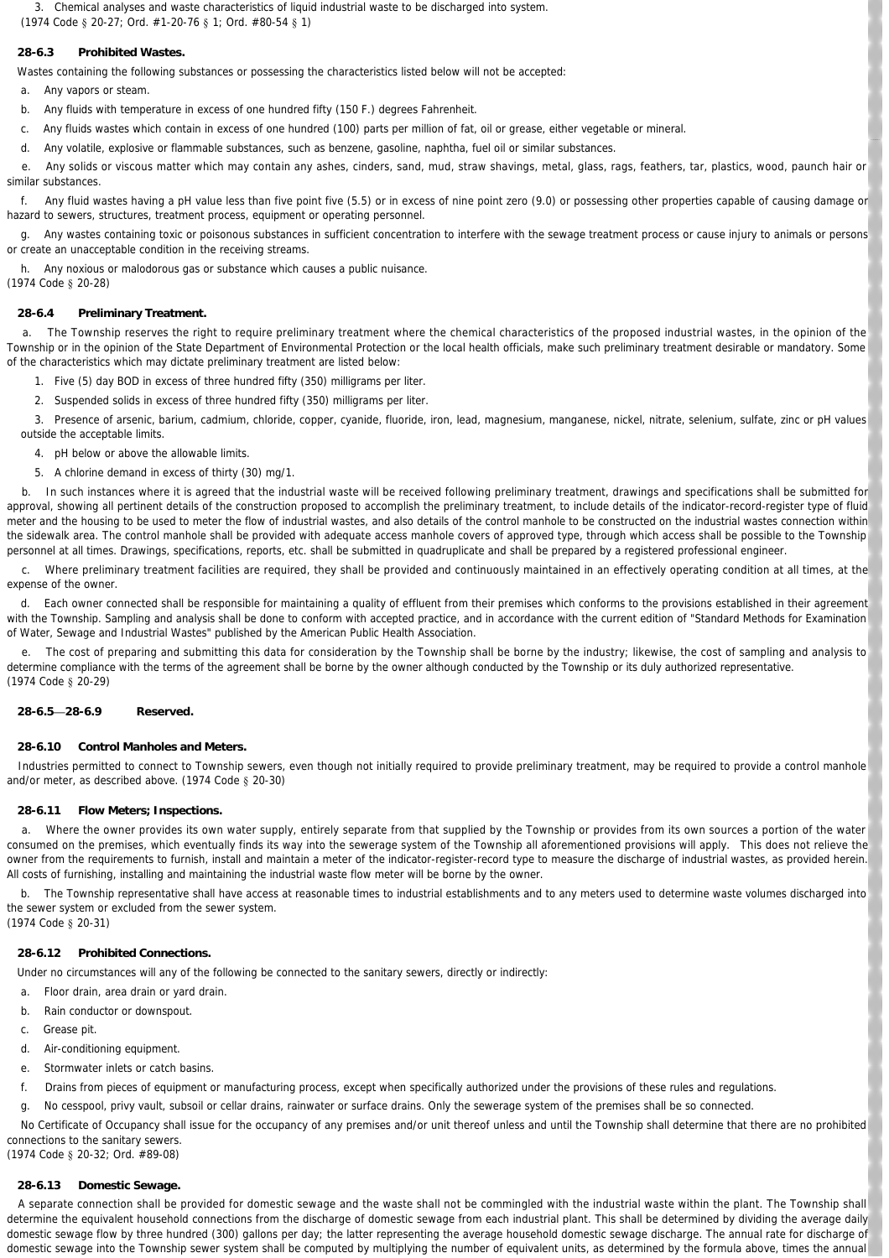3. Chemical analyses and waste characteristics of liquid industrial waste to be discharged into system.

(1974 Code § 20-27; Ord. #1-20-76 § 1; Ord. #80-54 § 1)

# **28-6.3 Prohibited Wastes.**

Wastes containing the following substances or possessing the characteristics listed below will not be accepted:

a. Any vapors or steam.

- b. Any fluids with temperature in excess of one hundred fifty (150 F.) degrees Fahrenheit.
- c. Any fluids wastes which contain in excess of one hundred (100) parts per million of fat, oil or grease, either vegetable or mineral.
- d. Any volatile, explosive or flammable substances, such as benzene, gasoline, naphtha, fuel oil or similar substances.

 e. Any solids or viscous matter which may contain any ashes, cinders, sand, mud, straw shavings, metal, glass, rags, feathers, tar, plastics, wood, paunch hair or similar substances.

 f. Any fluid wastes having a pH value less than five point five (5.5) or in excess of nine point zero (9.0) or possessing other properties capable of causing damage or hazard to sewers, structures, treatment process, equipment or operating personnel.

 g. Any wastes containing toxic or poisonous substances in sufficient concentration to interfere with the sewage treatment process or cause injury to animals or persons or create an unacceptable condition in the receiving streams.

h. Any noxious or malodorous gas or substance which causes a public nuisance.

(1974 Code § 20-28)

# **28-6.4 Preliminary Treatment.**

 a. The Township reserves the right to require preliminary treatment where the chemical characteristics of the proposed industrial wastes, in the opinion of the Township or in the opinion of the State Department of Environmental Protection or the local health officials, make such preliminary treatment desirable or mandatory. Some of the characteristics which may dictate preliminary treatment are listed below:

- 1. Five (5) day BOD in excess of three hundred fifty (350) milligrams per liter.
- 2. Suspended solids in excess of three hundred fifty (350) milligrams per liter.

3. Presence of arsenic, barium, cadmium, chloride, copper, cyanide, fluoride, iron, lead, magnesium, manganese, nickel, nitrate, selenium, sulfate, zinc or pH values outside the acceptable limits.

4. pH below or above the allowable limits.

5. A chlorine demand in excess of thirty (30) mg/1.

 b. In such instances where it is agreed that the industrial waste will be received following preliminary treatment, drawings and specifications shall be submitted for approval, showing all pertinent details of the construction proposed to accomplish the preliminary treatment, to include details of the indicator-record-register type of fluid meter and the housing to be used to meter the flow of industrial wastes, and also details of the control manhole to be constructed on the industrial wastes connection within the sidewalk area. The control manhole shall be provided with adequate access manhole covers of approved type, through which access shall be possible to the Township personnel at all times. Drawings, specifications, reports, etc. shall be submitted in quadruplicate and shall be prepared by a registered professional engineer.

 c. Where preliminary treatment facilities are required, they shall be provided and continuously maintained in an effectively operating condition at all times, at the expense of the owner.

 d. Each owner connected shall be responsible for maintaining a quality of effluent from their premises which conforms to the provisions established in their agreement with the Township. Sampling and analysis shall be done to conform with accepted practice, and in accordance with the current edition of "Standard Methods for Examination of Water, Sewage and Industrial Wastes" published by the American Public Health Association.

 e. The cost of preparing and submitting this data for consideration by the Township shall be borne by the industry; likewise, the cost of sampling and analysis to determine compliance with the terms of the agreement shall be borne by the owner although conducted by the Township or its duly authorized representative. (1974 Code § 20-29)

### **28-6.5—28-6.9 Reserved.**

### **28-6.10 Control Manholes and Meters.**

Industries permitted to connect to Township sewers, even though not initially required to provide preliminary treatment, may be required to provide a control manhole and/or meter, as described above. (1974 Code § 20-30)

### **28-6.11 Flow Meters; Inspections.**

 a. Where the owner provides its own water supply, entirely separate from that supplied by the Township or provides from its own sources a portion of the water consumed on the premises, which eventually finds its way into the sewerage system of the Township all aforementioned provisions will apply. This does not relieve the owner from the requirements to furnish, install and maintain a meter of the indicator-register-record type to measure the discharge of industrial wastes, as provided herein. All costs of furnishing, installing and maintaining the industrial waste flow meter will be borne by the owner.

 b. The Township representative shall have access at reasonable times to industrial establishments and to any meters used to determine waste volumes discharged into the sewer system or excluded from the sewer system.

(1974 Code § 20-31)

# **28-6.12 Prohibited Connections.**

Under no circumstances will any of the following be connected to the sanitary sewers, directly or indirectly:

- a. Floor drain, area drain or yard drain.
- b. Rain conductor or downspout
- c. Grease pit.
- d. Air-conditioning equipment.
- e. Stormwater inlets or catch basins.
- f. Drains from pieces of equipment or manufacturing process, except when specifically authorized under the provisions of these rules and regulations.
- g. No cesspool, privy vault, subsoil or cellar drains, rainwater or surface drains. Only the sewerage system of the premises shall be so connected.

No Certificate of Occupancy shall issue for the occupancy of any premises and/or unit thereof unless and until the Township shall determine that there are no prohibited connections to the sanitary sewers.

(1974 Code § 20-32; Ord. #89-08)

# **28-6.13 Domestic Sewage.**

A separate connection shall be provided for domestic sewage and the waste shall not be commingled with the industrial waste within the plant. The Township shall determine the equivalent household connections from the discharge of domestic sewage from each industrial plant. This shall be determined by dividing the average daily domestic sewage flow by three hundred (300) gallons per day; the latter representing the average household domestic sewage discharge. The annual rate for discharge of domestic sewage into the Township sewer system shall be computed by multiplying the number of equivalent units, as determined by the formula above, times the annual